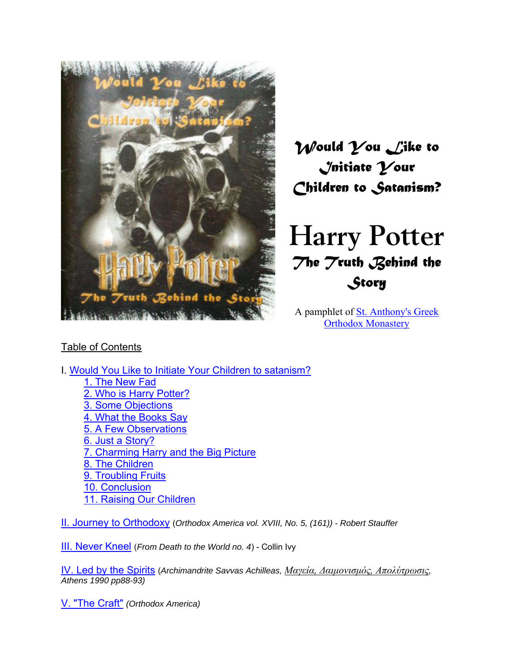

*Would You Like to Initiate Your Children to Satanism?* 

# **Harry Potter** *The Truth Behind the Story*

A pamphlet of St. Anthony's Greek Orthodox Monastery

# Table of Contents

I. Would You Like to Initiate Your Children to satanism? 1. The New Fad 2. Who is Harry Potter? 3. Some Objections 4. What the Books Say 5. A Few Observations 6. Just a Story? 7. Charming Harry and the Big Picture 8. The Children 9. Troubling Fruits 10. Conclusion 11. Raising Our Children

II. Journey to Orthodoxy (*Orthodox America vol. XVIII, No. 5, (161)) - Robert Stauffer*

III. Never Kneel (*From Death to the World no. 4*) - Collin Ivy

IV. Led by the Spirits (*Archimandrite Savvas Achilleas, Μαγεία, ∆αιµονισµός, Απολύτρωσις, Athens 1990 pp88-93)*

V. "The Craft" *(Orthodox America)*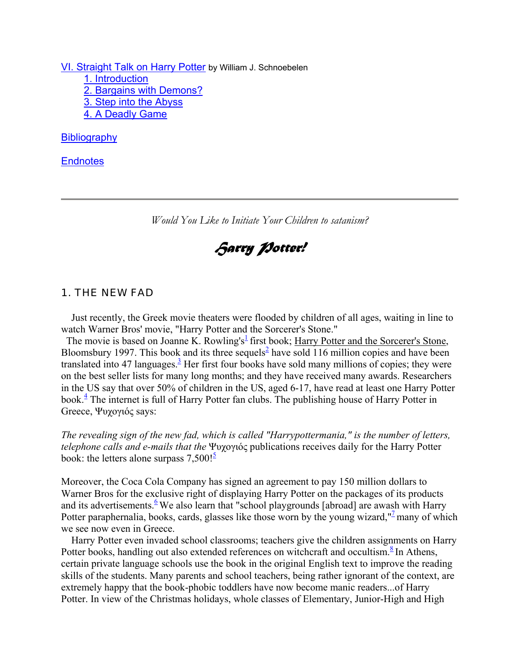VI. Straight Talk on Harry Potter by William J. Schnoebelen 1. Introduction 2. Bargains with Demons? 3. Step into the Abyss 4. A Deadly Game

**Bibliography** 

**Endnotes** 

*Would You Like to Initiate Your Children to satanism?*

*Harry Potter!*

#### *1. THE NEW FAD*

 Just recently, the Greek movie theaters were flooded by children of all ages, waiting in line to watch Warner Bros' movie, "Harry Potter and the Sorcerer's Stone."

The movie is based on Joanne K. Rowling's<sup> $\frac{1}{2}$ </sup> first book; Harry Potter and the Sorcerer's Stone, Bloomsbury 1997. This book and its three sequels<sup>2</sup> have sold 116 million copies and have been translated into 47 languages.<sup>3</sup> Her first four books have sold many millions of copies; they were on the best seller lists for many long months; and they have received many awards. Researchers in the US say that over 50% of children in the US, aged 6-17, have read at least one Harry Potter book.<sup>4</sup> The internet is full of Harry Potter fan clubs. The publishing house of Harry Potter in Greece, Ψυχογιός says:

*The revealing sign of the new fad, which is called "Harrypottermania," is the number of letters, telephone calls and e-mails that the* Ψυχογιός publications receives daily for the Harry Potter book: the letters alone surpass  $7,500$ ! $\frac{5}{5}$ 

Moreover, the Coca Cola Company has signed an agreement to pay 150 million dollars to Warner Bros for the exclusive right of displaying Harry Potter on the packages of its products and its advertisements.<sup>6</sup> We also learn that "school playgrounds [abroad] are awash with Harry Potter paraphernalia, books, cards, glasses like those worn by the young wizard," many of which we see now even in Greece.

 Harry Potter even invaded school classrooms; teachers give the children assignments on Harry Potter books, handling out also extended references on witchcraft and occultism.<sup>8</sup> In Athens, certain private language schools use the book in the original English text to improve the reading skills of the students. Many parents and school teachers, being rather ignorant of the context, are extremely happy that the book-phobic toddlers have now become manic readers...of Harry Potter. In view of the Christmas holidays, whole classes of Elementary, Junior-High and High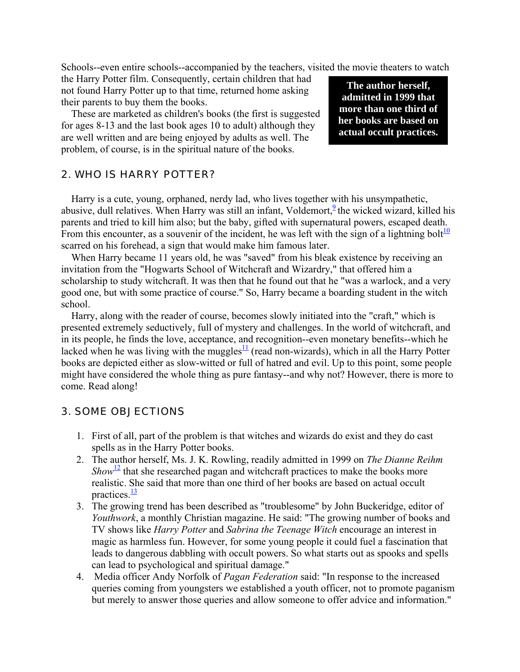Schools--even entire schools--accompanied by the teachers, visited the movie theaters to watch

the Harry Potter film. Consequently, certain children that had not found Harry Potter up to that time, returned home asking their parents to buy them the books.

 These are marketed as children's books (the first is suggested for ages 8-13 and the last book ages 10 to adult) although they are well written and are being enjoyed by adults as well. The problem, of course, is in the spiritual nature of the books.

**The author herself, admitted in 1999 that more than one third of her books are based on actual occult practices.**

## *2. WHO IS HARRY POTTER?*

 Harry is a cute, young, orphaned, nerdy lad, who lives together with his unsympathetic, abusive, dull relatives. When Harry was still an infant, Voldemort,  $\frac{9}{2}$  the wicked wizard, killed his parents and tried to kill him also; but the baby, gifted with supernatural powers, escaped death. From this encounter, as a souvenir of the incident, he was left with the sign of a lightning bolt<sup>10</sup> scarred on his forehead, a sign that would make him famous later.

 When Harry became 11 years old, he was "saved" from his bleak existence by receiving an invitation from the "Hogwarts School of Witchcraft and Wizardry," that offered him a scholarship to study witchcraft. It was then that he found out that he "was a warlock, and a very good one, but with some practice of course." So, Harry became a boarding student in the witch school.

 Harry, along with the reader of course, becomes slowly initiated into the "craft," which is presented extremely seductively, full of mystery and challenges. In the world of witchcraft, and in its people, he finds the love, acceptance, and recognition--even monetary benefits--which he lacked when he was living with the muggles $\frac{11}{1}$  (read non-wizards), which in all the Harry Potter books are depicted either as slow-witted or full of hatred and evil. Up to this point, some people might have considered the whole thing as pure fantasy--and why not? However, there is more to come. Read along!

#### *3. SOME OBJECTIONS*

- 1. First of all, part of the problem is that witches and wizards do exist and they do cast spells as in the Harry Potter books.
- 2. The author herself, Ms. J. K. Rowling, readily admitted in 1999 on *The Dianne Reihm Show*<sup>12</sup> that she researched pagan and witchcraft practices to make the books more realistic. She said that more than one third of her books are based on actual occult practices. $\frac{13}{2}$
- 3. The growing trend has been described as "troublesome" by John Buckeridge, editor of *Youthwork*, a monthly Christian magazine. He said: "The growing number of books and TV shows like *Harry Potter* and *Sabrina the Teenage Witch* encourage an interest in magic as harmless fun. However, for some young people it could fuel a fascination that leads to dangerous dabbling with occult powers. So what starts out as spooks and spells can lead to psychological and spiritual damage."
- 4. Media officer Andy Norfolk of *Pagan Federation* said: "In response to the increased queries coming from youngsters we established a youth officer, not to promote paganism but merely to answer those queries and allow someone to offer advice and information."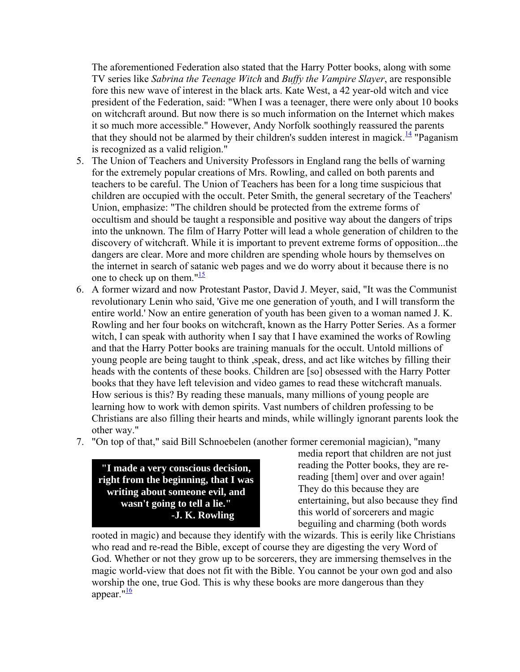The aforementioned Federation also stated that the Harry Potter books, along with some TV series like *Sabrina the Teenage Witch* and *Buffy the Vampire Slayer*, are responsible fore this new wave of interest in the black arts. Kate West, a 42 year-old witch and vice president of the Federation, said: "When I was a teenager, there were only about 10 books on witchcraft around. But now there is so much information on the Internet which makes it so much more accessible." However, Andy Norfolk soothingly reassured the parents that they should not be alarmed by their children's sudden interest in magick.<sup>14</sup> "Paganism" is recognized as a valid religion."

- 5. The Union of Teachers and University Professors in England rang the bells of warning for the extremely popular creations of Mrs. Rowling, and called on both parents and teachers to be careful. The Union of Teachers has been for a long time suspicious that children are occupied with the occult. Peter Smith, the general secretary of the Teachers' Union, emphasize: "The children should be protected from the extreme forms of occultism and should be taught a responsible and positive way about the dangers of trips into the unknown. The film of Harry Potter will lead a whole generation of children to the discovery of witchcraft. While it is important to prevent extreme forms of opposition...the dangers are clear. More and more children are spending whole hours by themselves on the internet in search of satanic web pages and we do worry about it because there is no one to check up on them." $\frac{15}{15}$
- 6. A former wizard and now Protestant Pastor, David J. Meyer, said, "It was the Communist revolutionary Lenin who said, 'Give me one generation of youth, and I will transform the entire world.' Now an entire generation of youth has been given to a woman named J. K. Rowling and her four books on witchcraft, known as the Harry Potter Series. As a former witch, I can speak with authority when I say that I have examined the works of Rowling and that the Harry Potter books are training manuals for the occult. Untold millions of young people are being taught to think ,speak, dress, and act like witches by filling their heads with the contents of these books. Children are [so] obsessed with the Harry Potter books that they have left television and video games to read these witchcraft manuals. How serious is this? By reading these manuals, many millions of young people are learning how to work with demon spirits. Vast numbers of children professing to be Christians are also filling their hearts and minds, while willingly ignorant parents look the other way."
- 7. "On top of that," said Bill Schnoebelen (another former ceremonial magician), "many

**"I made a very conscious decision, right from the beginning, that I was writing about someone evil, and wasn't going to tell a lie." -J. K. Rowling**

media report that children are not just reading the Potter books, they are rereading [them] over and over again! They do this because they are entertaining, but also because they find this world of sorcerers and magic beguiling and charming (both words

rooted in magic) and because they identify with the wizards. This is eerily like Christians who read and re-read the Bible, except of course they are digesting the very Word of God. Whether or not they grow up to be sorcerers, they are immersing themselves in the magic world-view that does not fit with the Bible. You cannot be your own god and also worship the one, true God. This is why these books are more dangerous than they appear. $\frac{16}{16}$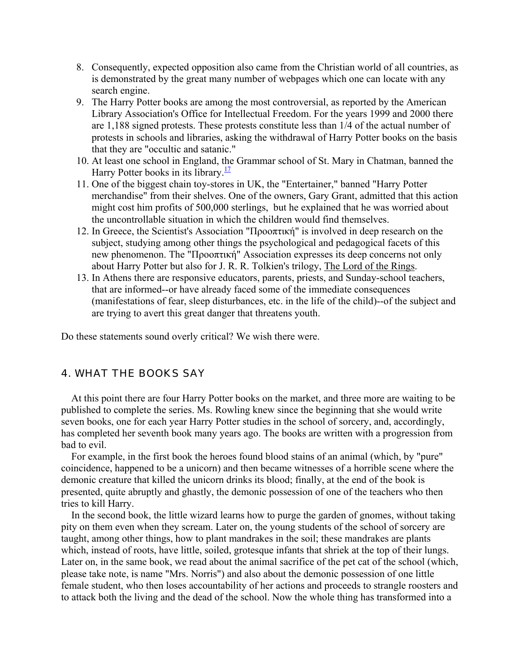- 8. Consequently, expected opposition also came from the Christian world of all countries, as is demonstrated by the great many number of webpages which one can locate with any search engine.
- 9. The Harry Potter books are among the most controversial, as reported by the American Library Association's Office for Intellectual Freedom. For the years 1999 and 2000 there are 1,188 signed protests. These protests constitute less than 1/4 of the actual number of protests in schools and libraries, asking the withdrawal of Harry Potter books on the basis that they are "occultic and satanic."
- 10. At least one school in England, the Grammar school of St. Mary in Chatman, banned the Harry Potter books in its library. $\frac{17}{12}$
- 11. One of the biggest chain toy-stores in UK, the "Entertainer," banned "Harry Potter merchandise" from their shelves. One of the owners, Gary Grant, admitted that this action might cost him profits of 500,000 sterlings, but he explained that he was worried about the uncontrollable situation in which the children would find themselves.
- 12. In Greece, the Scientist's Association "Προοπτική" is involved in deep research on the subject, studying among other things the psychological and pedagogical facets of this new phenomenon. The "Προοπτική" Association expresses its deep concerns not only about Harry Potter but also for J. R. R. Tolkien's trilogy, The Lord of the Rings.
- 13. In Athens there are responsive educators, parents, priests, and Sunday-school teachers, that are informed--or have already faced some of the immediate consequences (manifestations of fear, sleep disturbances, etc. in the life of the child)--of the subject and are trying to avert this great danger that threatens youth.

Do these statements sound overly critical? We wish there were.

#### *4. WHAT THE BOOKS SAY*

At this point there are four Harry Potter books on the market, and three more are waiting to be published to complete the series. Ms. Rowling knew since the beginning that she would write seven books, one for each year Harry Potter studies in the school of sorcery, and, accordingly, has completed her seventh book many years ago. The books are written with a progression from bad to evil.

 For example, in the first book the heroes found blood stains of an animal (which, by "pure" coincidence, happened to be a unicorn) and then became witnesses of a horrible scene where the demonic creature that killed the unicorn drinks its blood; finally, at the end of the book is presented, quite abruptly and ghastly, the demonic possession of one of the teachers who then tries to kill Harry.

 In the second book, the little wizard learns how to purge the garden of gnomes, without taking pity on them even when they scream. Later on, the young students of the school of sorcery are taught, among other things, how to plant mandrakes in the soil; these mandrakes are plants which, instead of roots, have little, soiled, grotesque infants that shriek at the top of their lungs. Later on, in the same book, we read about the animal sacrifice of the pet cat of the school (which, please take note, is name "Mrs. Norris") and also about the demonic possession of one little female student, who then loses accountability of her actions and proceeds to strangle roosters and to attack both the living and the dead of the school. Now the whole thing has transformed into a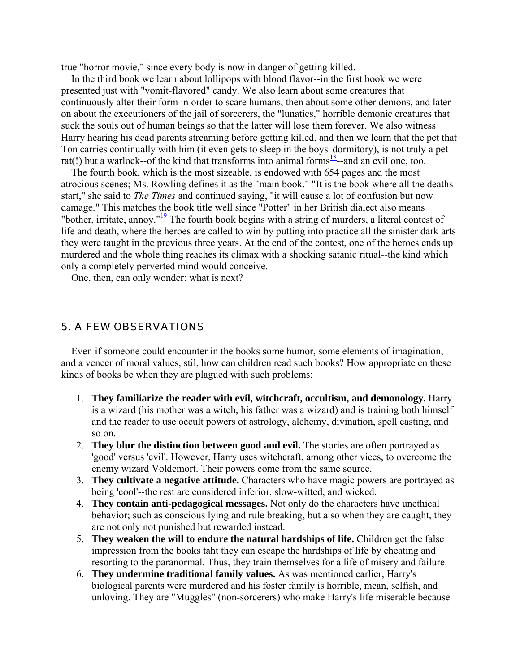true "horror movie," since every body is now in danger of getting killed.

 In the third book we learn about lollipops with blood flavor--in the first book we were presented just with "vomit-flavored" candy. We also learn about some creatures that continuously alter their form in order to scare humans, then about some other demons, and later on about the executioners of the jail of sorcerers, the "lunatics," horrible demonic creatures that suck the souls out of human beings so that the latter will lose them forever. We also witness Harry hearing his dead parents streaming before getting killed, and then we learn that the pet that Ton carries continually with him (it even gets to sleep in the boys' dormitory), is not truly a pet rat(!) but a warlock--of the kind that transforms into animal forms<sup>18</sup>--and an evil one, too.

 The fourth book, which is the most sizeable, is endowed with 654 pages and the most atrocious scenes; Ms. Rowling defines it as the "main book." "It is the book where all the deaths start," she said to *The Times* and continued saying, "it will cause a lot of confusion but now damage." This matches the book title well since "Potter" in her British dialect also means "bother, irritate, annoy."<sup>19</sup> The fourth book begins with a string of murders, a literal contest of life and death, where the heroes are called to win by putting into practice all the sinister dark arts they were taught in the previous three years. At the end of the contest, one of the heroes ends up murdered and the whole thing reaches its climax with a shocking satanic ritual--the kind which only a completely perverted mind would conceive.

One, then, can only wonder: what is next?

#### *5. A FEW OBSERVATIONS*

 Even if someone could encounter in the books some humor, some elements of imagination, and a veneer of moral values, stil, how can children read such books? How appropriate cn these kinds of books be when they are plagued with such problems:

- 1. **They familiarize the reader with evil, witchcraft, occultism, and demonology.** Harry is a wizard (his mother was a witch, his father was a wizard) and is training both himself and the reader to use occult powers of astrology, alchemy, divination, spell casting, and so on.
- 2. **They blur the distinction between good and evil.** The stories are often portrayed as 'good' versus 'evil'. However, Harry uses witchcraft, among other vices, to overcome the enemy wizard Voldemort. Their powers come from the same source.
- 3. **They cultivate a negative attitude.** Characters who have magic powers are portrayed as being 'cool'--the rest are considered inferior, slow-witted, and wicked.
- 4. **They contain anti-pedagogical messages.** Not only do the characters have unethical behavior; such as conscious lying and rule breaking, but also when they are caught, they are not only not punished but rewarded instead.
- 5. **They weaken the will to endure the natural hardships of life.** Children get the false impression from the books taht they can escape the hardships of life by cheating and resorting to the paranormal. Thus, they train themselves for a life of misery and failure.
- 6. **They undermine traditional family values.** As was mentioned earlier, Harry's biological parents were murdered and his foster family is horrible, mean, selfish, and unloving. They are "Muggles" (non-sorcerers) who make Harry's life miserable because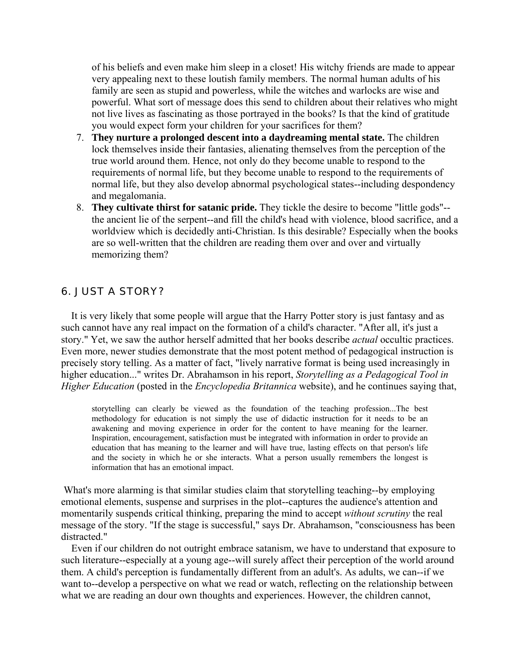of his beliefs and even make him sleep in a closet! His witchy friends are made to appear very appealing next to these loutish family members. The normal human adults of his family are seen as stupid and powerless, while the witches and warlocks are wise and powerful. What sort of message does this send to children about their relatives who might not live lives as fascinating as those portrayed in the books? Is that the kind of gratitude you would expect form your children for your sacrifices for them?

- 7. **They nurture a prolonged descent into a daydreaming mental state.** The children lock themselves inside their fantasies, alienating themselves from the perception of the true world around them. Hence, not only do they become unable to respond to the requirements of normal life, but they become unable to respond to the requirements of normal life, but they also develop abnormal psychological states--including despondency and megalomania.
- 8. **They cultivate thirst for satanic pride.** They tickle the desire to become "little gods"- the ancient lie of the serpent--and fill the child's head with violence, blood sacrifice, and a worldview which is decidedly anti-Christian. Is this desirable? Especially when the books are so well-written that the children are reading them over and over and virtually memorizing them?

### *6. JUST A STORY?*

 It is very likely that some people will argue that the Harry Potter story is just fantasy and as such cannot have any real impact on the formation of a child's character. "After all, it's just a story." Yet, we saw the author herself admitted that her books describe *actual* occultic practices. Even more, newer studies demonstrate that the most potent method of pedagogical instruction is precisely story telling. As a matter of fact, "lively narrative format is being used increasingly in higher education..." writes Dr. Abrahamson in his report, *Storytelling as a Pedagogical Tool in Higher Education* (posted in the *Encyclopedia Britannica* website), and he continues saying that,

storytelling can clearly be viewed as the foundation of the teaching profession...The best methodology for education is not simply the use of didactic instruction for it needs to be an awakening and moving experience in order for the content to have meaning for the learner. Inspiration, encouragement, satisfaction must be integrated with information in order to provide an education that has meaning to the learner and will have true, lasting effects on that person's life and the society in which he or she interacts. What a person usually remembers the longest is information that has an emotional impact.

 What's more alarming is that similar studies claim that storytelling teaching--by employing emotional elements, suspense and surprises in the plot--captures the audience's attention and momentarily suspends critical thinking, preparing the mind to accept *without scrutiny* the real message of the story. "If the stage is successful," says Dr. Abrahamson, "consciousness has been distracted."

 Even if our children do not outright embrace satanism, we have to understand that exposure to such literature--especially at a young age--will surely affect their perception of the world around them. A child's perception is fundamentally different from an adult's. As adults, we can--if we want to--develop a perspective on what we read or watch, reflecting on the relationship between what we are reading an dour own thoughts and experiences. However, the children cannot,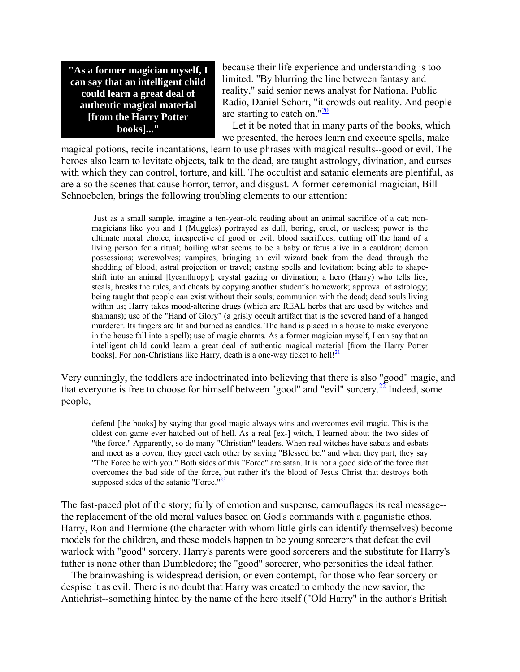**"As a former magician myself, I can say that an intelligent child could learn a great deal of authentic magical material [from the Harry Potter books]..."**

because their life experience and understanding is too limited. "By blurring the line between fantasy and reality," said senior news analyst for National Public Radio, Daniel Schorr, "it crowds out reality. And people are starting to catch on." $\frac{20}{20}$ 

 Let it be noted that in many parts of the books, which we presented, the heroes learn and execute spells, make

magical potions, recite incantations, learn to use phrases with magical results--good or evil. The heroes also learn to levitate objects, talk to the dead, are taught astrology, divination, and curses with which they can control, torture, and kill. The occultist and satanic elements are plentiful, as are also the scenes that cause horror, terror, and disgust. A former ceremonial magician, Bill Schnoebelen, brings the following troubling elements to our attention:

 Just as a small sample, imagine a ten-year-old reading about an animal sacrifice of a cat; nonmagicians like you and I (Muggles) portrayed as dull, boring, cruel, or useless; power is the ultimate moral choice, irrespective of good or evil; blood sacrifices; cutting off the hand of a living person for a ritual; boiling what seems to be a baby or fetus alive in a cauldron; demon possessions; werewolves; vampires; bringing an evil wizard back from the dead through the shedding of blood; astral projection or travel; casting spells and levitation; being able to shapeshift into an animal [lycanthropy]; crystal gazing or divination; a hero (Harry) who tells lies, steals, breaks the rules, and cheats by copying another student's homework; approval of astrology; being taught that people can exist without their souls; communion with the dead; dead souls living within us; Harry takes mood-altering drugs (which are REAL herbs that are used by witches and shamans); use of the "Hand of Glory" (a grisly occult artifact that is the severed hand of a hanged murderer. Its fingers are lit and burned as candles. The hand is placed in a house to make everyone in the house fall into a spell); use of magic charms. As a former magician myself, I can say that an intelligent child could learn a great deal of authentic magical material [from the Harry Potter books]. For non-Christians like Harry, death is a one-way ticket to hell!<sup>21</sup>

Very cunningly, the toddlers are indoctrinated into believing that there is also "good" magic, and that everyone is free to choose for himself between "good" and "evil" sorcery.<sup>22</sup> Indeed, some people,

defend [the books] by saying that good magic always wins and overcomes evil magic. This is the oldest con game ever hatched out of hell. As a real [ex-] witch, I learned about the two sides of "the force." Apparently, so do many "Christian" leaders. When real witches have sabats and esbats and meet as a coven, they greet each other by saying "Blessed be," and when they part, they say "The Force be with you." Both sides of this "Force" are satan. It is not a good side of the force that overcomes the bad side of the force, but rather it's the blood of Jesus Christ that destroys both supposed sides of the satanic "Force." $\frac{23}{2}$ 

The fast-paced plot of the story; fully of emotion and suspense, camouflages its real message- the replacement of the old moral values based on God's commands with a paganistic ethos. Harry, Ron and Hermione (the character with whom little girls can identify themselves) become models for the children, and these models happen to be young sorcerers that defeat the evil warlock with "good" sorcery. Harry's parents were good sorcerers and the substitute for Harry's father is none other than Dumbledore; the "good" sorcerer, who personifies the ideal father.

 The brainwashing is widespread derision, or even contempt, for those who fear sorcery or despise it as evil. There is no doubt that Harry was created to embody the new savior, the Antichrist--something hinted by the name of the hero itself ("Old Harry" in the author's British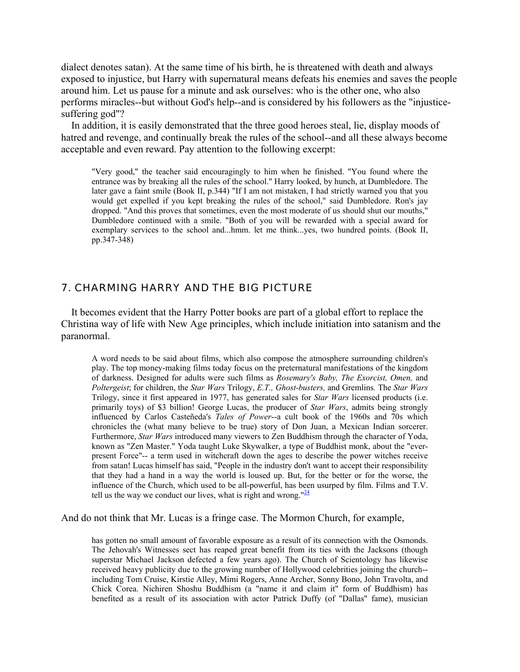dialect denotes satan). At the same time of his birth, he is threatened with death and always exposed to injustice, but Harry with supernatural means defeats his enemies and saves the people around him. Let us pause for a minute and ask ourselves: who is the other one, who also performs miracles--but without God's help--and is considered by his followers as the "injusticesuffering god"?

 In addition, it is easily demonstrated that the three good heroes steal, lie, display moods of hatred and revenge, and continually break the rules of the school--and all these always become acceptable and even reward. Pay attention to the following excerpt:

"Very good," the teacher said encouragingly to him when he finished. "You found where the entrance was by breaking all the rules of the school." Harry looked, by hunch, at Dumbledore. The later gave a faint smile (Book II, p.344) "If I am not mistaken, I had strictly warned you that you would get expelled if you kept breaking the rules of the school," said Dumbledore. Ron's jay dropped. "And this proves that sometimes, even the most moderate of us should shut our mouths," Dumbledore continued with a smile. "Both of you will be rewarded with a special award for exemplary services to the school and...hmm. let me think...yes, two hundred points. (Book II, pp.347-348)

#### *7. CHARMING HARRY AND THE BIG PICTURE*

 It becomes evident that the Harry Potter books are part of a global effort to replace the Christina way of life with New Age principles, which include initiation into satanism and the paranormal.

A word needs to be said about films, which also compose the atmosphere surrounding children's play. The top money-making films today focus on the preternatural manifestations of the kingdom of darkness. Designed for adults were such films as *Rosemary's Baby, The Exorcist, Omen,* and *Poltergeist*; for children, the *Star Wars* Trilogy, *E.T., Ghost-busters,* and Gremlins*.* The *Star Wars* Trilogy, since it first appeared in 1977, has generated sales for *Star Wars* licensed products (i.e. primarily toys) of \$3 billion! George Lucas, the producer of *Star Wars*, admits being strongly influenced by Carlos Casteñeda's *Tales of Power*--a cult book of the 1960s and 70s which chronicles the (what many believe to be true) story of Don Juan, a Mexican Indian sorcerer. Furthermore, *Star Wars* introduced many viewers to Zen Buddhism through the character of Yoda, known as "Zen Master." Yoda taught Luke Skywalker, a type of Buddhist monk, about the "everpresent Force"-- a term used in witchcraft down the ages to describe the power witches receive from satan! Lucas himself has said, "People in the industry don't want to accept their responsibility that they had a hand in a way the world is loused up. But, for the better or for the worse, the influence of the Church, which used to be all-powerful, has been usurped by film. Films and T.V. tell us the way we conduct our lives, what is right and wrong." $\frac{24}{4}$ 

And do not think that Mr. Lucas is a fringe case. The Mormon Church, for example,

has gotten no small amount of favorable exposure as a result of its connection with the Osmonds. The Jehovah's Witnesses sect has reaped great benefit from its ties with the Jacksons (though superstar Michael Jackson defected a few years ago). The Church of Scientology has likewise received heavy publicity due to the growing number of Hollywood celebrities joining the church- including Tom Cruise, Kirstie Alley, Mimi Rogers, Anne Archer, Sonny Bono, John Travolta, and Chick Corea. Nichiren Shoshu Buddhism (a "name it and claim it" form of Buddhism) has benefited as a result of its association with actor Patrick Duffy (of "Dallas" fame), musician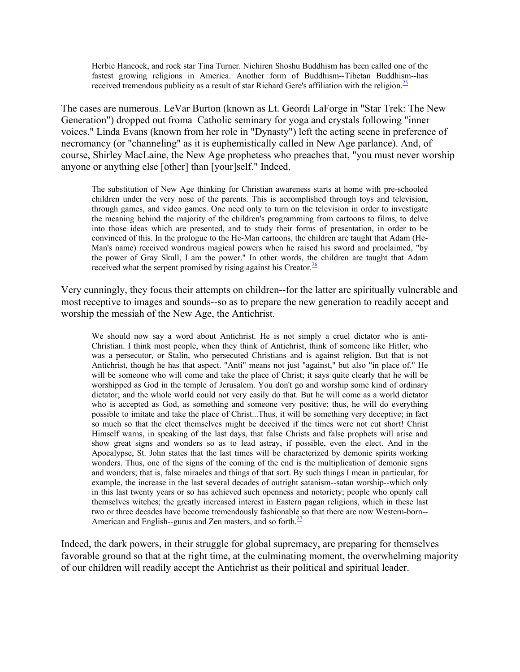Herbie Hancock, and rock star Tina Turner. Nichiren Shoshu Buddhism has been called one of the fastest growing religions in America. Another form of Buddhism--Tibetan Buddhism--has received tremendous publicity as a result of star Richard Gere's affiliation with the religion.<sup>25</sup>

The cases are numerous. LeVar Burton (known as Lt. Geordi LaForge in "Star Trek: The New Generation") dropped out froma Catholic seminary for yoga and crystals following "inner voices." Linda Evans (known from her role in "Dynasty") left the acting scene in preference of necromancy (or "channeling" as it is euphemistically called in New Age parlance). And, of course, Shirley MacLaine, the New Age prophetess who preaches that, "you must never worship anyone or anything else [other] than [your]self." Indeed,

The substitution of New Age thinking for Christian awareness starts at home with pre-schooled children under the very nose of the parents. This is accomplished through toys and television, through games, and video games. One need only to turn on the television in order to investigate the meaning behind the majority of the children's programming from cartoons to films, to delve into those ideas which are presented, and to study their forms of presentation, in order to be convinced of this. In the prologue to the He-Man cartoons, the children are taught that Adam (He-Man's name) received wondrous magical powers when he raised his sword and proclaimed, "by the power of Gray Skull, I am the power." In other words, the children are taught that Adam received what the serpent promised by rising against his Creator. $\frac{26}{5}$ 

Very cunningly, they focus their attempts on children--for the latter are spiritually vulnerable and most receptive to images and sounds--so as to prepare the new generation to readily accept and worship the messiah of the New Age, the Antichrist.

We should now say a word about Antichrist. He is not simply a cruel dictator who is anti-Christian. I think most people, when they think of Antichrist, think of someone like Hitler, who was a persecutor, or Stalin, who persecuted Christians and is against religion. But that is not Antichrist, though he has that aspect. "Anti" means not just "against," but also "in place of." He will be someone who will come and take the place of Christ; it says quite clearly that he will be worshipped as God in the temple of Jerusalem. You don't go and worship some kind of ordinary dictator; and the whole world could not very easily do that. But he will come as a world dictator who is accepted as God, as something and someone very positive; thus, he will do everything possible to imitate and take the place of Christ...Thus, it will be something very deceptive; in fact so much so that the elect themselves might be deceived if the times were not cut short! Christ Himself warns, in speaking of the last days, that false Christs and false prophets will arise and show great signs and wonders so as to lead astray, if possible, even the elect. And in the Apocalypse, St. John states that the last times will be characterized by demonic spirits working wonders. Thus, one of the signs of the coming of the end is the multiplication of demonic signs and wonders; that is, false miracles and things of that sort. By such things I mean in particular, for example, the increase in the last several decades of outright satanism--satan worship--which only in this last twenty years or so has achieved such openness and notoriety; people who openly call themselves witches; the greatly increased interest in Eastern pagan religions, which in these last two or three decades have become tremendously fashionable so that there are now Western-born-- American and English--gurus and Zen masters, and so forth. $\frac{27}{27}$ 

Indeed, the dark powers, in their struggle for global supremacy, are preparing for themselves favorable ground so that at the right time, at the culminating moment, the overwhelming majority of our children will readily accept the Antichrist as their political and spiritual leader.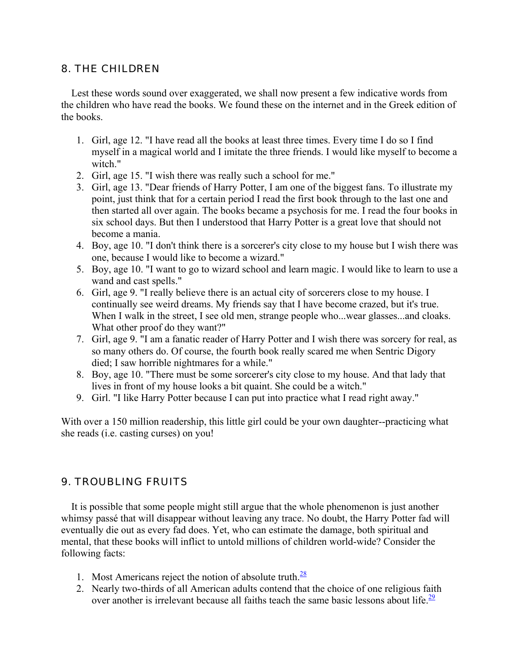## *8. THE CHILDREN*

 Lest these words sound over exaggerated, we shall now present a few indicative words from the children who have read the books. We found these on the internet and in the Greek edition of the books.

- 1. Girl, age 12. "I have read all the books at least three times. Every time I do so I find myself in a magical world and I imitate the three friends. I would like myself to become a witch."
- 2. Girl, age 15. "I wish there was really such a school for me."
- 3. Girl, age 13. "Dear friends of Harry Potter, I am one of the biggest fans. To illustrate my point, just think that for a certain period I read the first book through to the last one and then started all over again. The books became a psychosis for me. I read the four books in six school days. But then I understood that Harry Potter is a great love that should not become a mania.
- 4. Boy, age 10. "I don't think there is a sorcerer's city close to my house but I wish there was one, because I would like to become a wizard."
- 5. Boy, age 10. "I want to go to wizard school and learn magic. I would like to learn to use a wand and cast spells."
- 6. Girl, age 9. "I really believe there is an actual city of sorcerers close to my house. I continually see weird dreams. My friends say that I have become crazed, but it's true. When I walk in the street, I see old men, strange people who...wear glasses...and cloaks. What other proof do they want?"
- 7. Girl, age 9. "I am a fanatic reader of Harry Potter and I wish there was sorcery for real, as so many others do. Of course, the fourth book really scared me when Sentric Digory died; I saw horrible nightmares for a while."
- 8. Boy, age 10. "There must be some sorcerer's city close to my house. And that lady that lives in front of my house looks a bit quaint. She could be a witch."
- 9. Girl. "I like Harry Potter because I can put into practice what I read right away."

With over a 150 million readership, this little girl could be your own daughter--practicing what she reads (i.e. casting curses) on you!

# *9. TROUBLING FRUITS*

 It is possible that some people might still argue that the whole phenomenon is just another whimsy passé that will disappear without leaving any trace. No doubt, the Harry Potter fad will eventually die out as every fad does. Yet, who can estimate the damage, both spiritual and mental, that these books will inflict to untold millions of children world-wide? Consider the following facts:

- 1. Most Americans reject the notion of absolute truth. $\frac{28}{2}$
- 2. Nearly two-thirds of all American adults contend that the choice of one religious faith over another is irrelevant because all faiths teach the same basic lessons about life.  $\frac{29}{2}$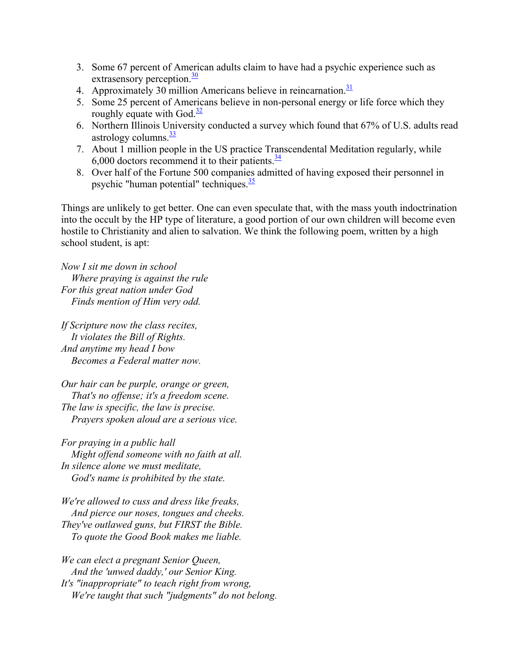- 3. Some 67 percent of American adults claim to have had a psychic experience such as extrasensory perception. $\frac{30}{20}$
- 4. Approximately 30 million Americans believe in reincarnation.<sup>31</sup>
- 5. Some 25 percent of Americans believe in non-personal energy or life force which they roughly equate with God. $\frac{32}{2}$
- 6. Northern Illinois University conducted a survey which found that 67% of U.S. adults read astrology columns. $\frac{33}{2}$
- 7. About 1 million people in the US practice Transcendental Meditation regularly, while 6,000 doctors recommend it to their patients. $\frac{34}{3}$
- 8. Over half of the Fortune 500 companies admitted of having exposed their personnel in psychic "human potential" techniques. $\frac{35}{2}$

Things are unlikely to get better. One can even speculate that, with the mass youth indoctrination into the occult by the HP type of literature, a good portion of our own children will become even hostile to Christianity and alien to salvation. We think the following poem, written by a high school student, is apt:

*Now I sit me down in school Where praying is against the rule For this great nation under God Finds mention of Him very odd.*

*If Scripture now the class recites, It violates the Bill of Rights. And anytime my head I bow Becomes a Federal matter now.*

*Our hair can be purple, orange or green, That's no offense; it's a freedom scene. The law is specific, the law is precise. Prayers spoken aloud are a serious vice.*

*For praying in a public hall Might offend someone with no faith at all. In silence alone we must meditate, God's name is prohibited by the state.*

*We're allowed to cuss and dress like freaks, And pierce our noses, tongues and cheeks. They've outlawed guns, but FIRST the Bible. To quote the Good Book makes me liable.*

*We can elect a pregnant Senior Queen, And the 'unwed daddy,' our Senior King. It's "inappropriate" to teach right from wrong, We're taught that such "judgments" do not belong.*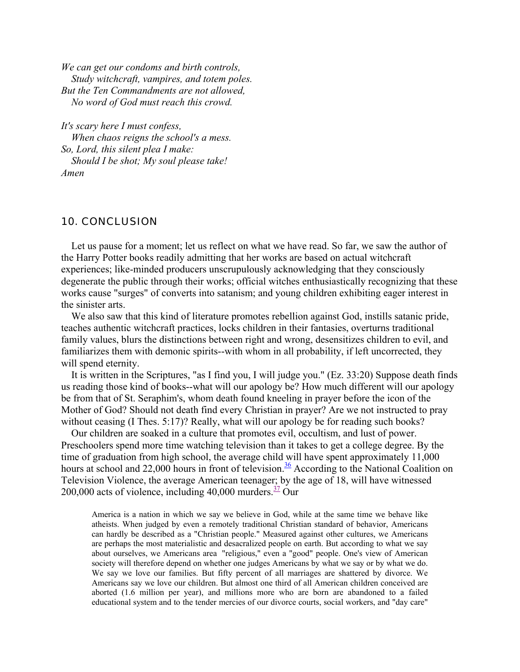*We can get our condoms and birth controls, Study witchcraft, vampires, and totem poles. But the Ten Commandments are not allowed, No word of God must reach this crowd.*

*It's scary here I must confess, When chaos reigns the school's a mess. So, Lord, this silent plea I make: Should I be shot; My soul please take! Amen*

#### *10. CONCLUSION*

Let us pause for a moment; let us reflect on what we have read. So far, we saw the author of the Harry Potter books readily admitting that her works are based on actual witchcraft experiences; like-minded producers unscrupulously acknowledging that they consciously degenerate the public through their works; official witches enthusiastically recognizing that these works cause "surges" of converts into satanism; and young children exhibiting eager interest in the sinister arts.

 We also saw that this kind of literature promotes rebellion against God, instills satanic pride, teaches authentic witchcraft practices, locks children in their fantasies, overturns traditional family values, blurs the distinctions between right and wrong, desensitizes children to evil, and familiarizes them with demonic spirits--with whom in all probability, if left uncorrected, they will spend eternity.

 It is written in the Scriptures, "as I find you, I will judge you." (Ez. 33:20) Suppose death finds us reading those kind of books--what will our apology be? How much different will our apology be from that of St. Seraphim's, whom death found kneeling in prayer before the icon of the Mother of God? Should not death find every Christian in prayer? Are we not instructed to pray without ceasing (I Thes. 5:17)? Really, what will our apology be for reading such books?

 Our children are soaked in a culture that promotes evil, occultism, and lust of power. Preschoolers spend more time watching television than it takes to get a college degree. By the time of graduation from high school, the average child will have spent approximately 11,000 hours at school and 22,000 hours in front of television.<sup>36</sup> According to the National Coalition on Television Violence, the average American teenager; by the age of 18, will have witnessed 200,000 acts of violence, including 40,000 murders. $\frac{37}{12}$  Our

America is a nation in which we say we believe in God, while at the same time we behave like atheists. When judged by even a remotely traditional Christian standard of behavior, Americans can hardly be described as a "Christian people." Measured against other cultures, we Americans are perhaps the most materialistic and desacralized people on earth. But according to what we say about ourselves, we Americans area "religious," even a "good" people. One's view of American society will therefore depend on whether one judges Americans by what we say or by what we do. We say we love our families. But fifty percent of all marriages are shattered by divorce. We Americans say we love our children. But almost one third of all American children conceived are aborted (1.6 million per year), and millions more who are born are abandoned to a failed educational system and to the tender mercies of our divorce courts, social workers, and "day care"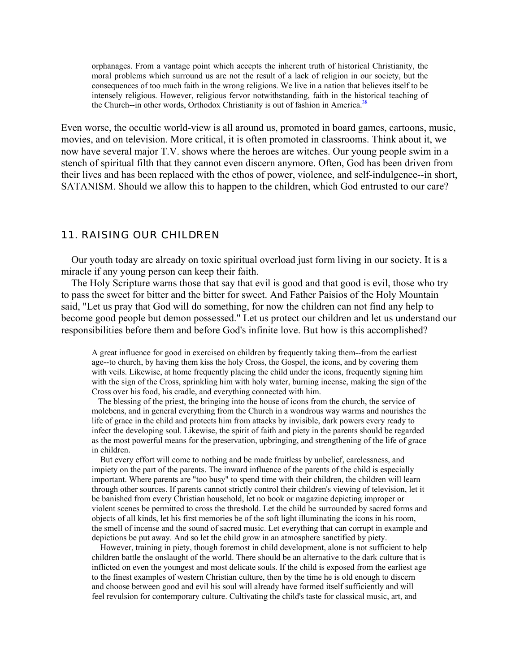orphanages. From a vantage point which accepts the inherent truth of historical Christianity, the moral problems which surround us are not the result of a lack of religion in our society, but the consequences of too much faith in the wrong religions. We live in a nation that believes itself to be intensely religious. However, religious fervor notwithstanding, faith in the historical teaching of the Church--in other words, Orthodox Christianity is out of fashion in America.<sup>38</sup>

Even worse, the occultic world-view is all around us, promoted in board games, cartoons, music, movies, and on television. More critical, it is often promoted in classrooms. Think about it, we now have several major T.V. shows where the heroes are witches. Our young people swim in a stench of spiritual filth that they cannot even discern anymore. Often, God has been driven from their lives and has been replaced with the ethos of power, violence, and self-indulgence--in short, SATANISM. Should we allow this to happen to the children, which God entrusted to our care?

#### *11. RAISING OUR CHILDREN*

 Our youth today are already on toxic spiritual overload just form living in our society. It is a miracle if any young person can keep their faith.

 The Holy Scripture warns those that say that evil is good and that good is evil, those who try to pass the sweet for bitter and the bitter for sweet. And Father Paisios of the Holy Mountain said, "Let us pray that God will do something, for now the children can not find any help to become good people but demon possessed." Let us protect our children and let us understand our responsibilities before them and before God's infinite love. But how is this accomplished?

A great influence for good in exercised on children by frequently taking them--from the earliest age--to church, by having them kiss the holy Cross, the Gospel, the icons, and by covering them with veils. Likewise, at home frequently placing the child under the icons, frequently signing him with the sign of the Cross, sprinkling him with holy water, burning incense, making the sign of the Cross over his food, his cradle, and everything connected with him.

 The blessing of the priest, the bringing into the house of icons from the church, the service of molebens, and in general everything from the Church in a wondrous way warms and nourishes the life of grace in the child and protects him from attacks by invisible, dark powers every ready to infect the developing soul. Likewise, the spirit of faith and piety in the parents should be regarded as the most powerful means for the preservation, upbringing, and strengthening of the life of grace in children.

 But every effort will come to nothing and be made fruitless by unbelief, carelessness, and impiety on the part of the parents. The inward influence of the parents of the child is especially important. Where parents are "too busy" to spend time with their children, the children will learn through other sources. If parents cannot strictly control their children's viewing of television, let it be banished from every Christian household, let no book or magazine depicting improper or violent scenes be permitted to cross the threshold. Let the child be surrounded by sacred forms and objects of all kinds, let his first memories be of the soft light illuminating the icons in his room, the smell of incense and the sound of sacred music. Let everything that can corrupt in example and depictions be put away. And so let the child grow in an atmosphere sanctified by piety.

 However, training in piety, though foremost in child development, alone is not sufficient to help children battle the onslaught of the world. There should be an alternative to the dark culture that is inflicted on even the youngest and most delicate souls. If the child is exposed from the earliest age to the finest examples of western Christian culture, then by the time he is old enough to discern and choose between good and evil his soul will already have formed itself sufficiently and will feel revulsion for contemporary culture. Cultivating the child's taste for classical music, art, and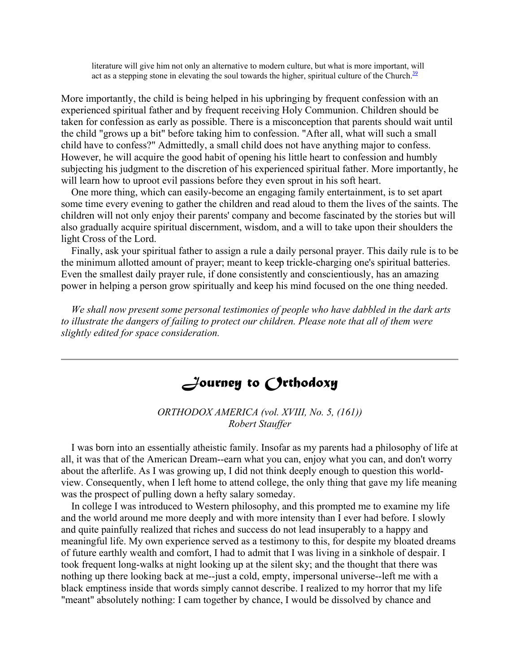literature will give him not only an alternative to modern culture, but what is more important, will act as a stepping stone in elevating the soul towards the higher, spiritual culture of the Church. $\frac{39}{2}$ 

More importantly, the child is being helped in his upbringing by frequent confession with an experienced spiritual father and by frequent receiving Holy Communion. Children should be taken for confession as early as possible. There is a misconception that parents should wait until the child "grows up a bit" before taking him to confession. "After all, what will such a small child have to confess?" Admittedly, a small child does not have anything major to confess. However, he will acquire the good habit of opening his little heart to confession and humbly subjecting his judgment to the discretion of his experienced spiritual father. More importantly, he will learn how to uproot evil passions before they even sprout in his soft heart.

 One more thing, which can easily-become an engaging family entertainment, is to set apart some time every evening to gather the children and read aloud to them the lives of the saints. The children will not only enjoy their parents' company and become fascinated by the stories but will also gradually acquire spiritual discernment, wisdom, and a will to take upon their shoulders the light Cross of the Lord.

 Finally, ask your spiritual father to assign a rule a daily personal prayer. This daily rule is to be the minimum allotted amount of prayer; meant to keep trickle-charging one's spiritual batteries. Even the smallest daily prayer rule, if done consistently and conscientiously, has an amazing power in helping a person grow spiritually and keep his mind focused on the one thing needed.

 *We shall now present some personal testimonies of people who have dabbled in the dark arts to illustrate the dangers of failing to protect our children. Please note that all of them were slightly edited for space consideration.*

# *Journey to Orthodoxy*

*ORTHODOX AMERICA (vol. XVIII, No. 5, (161)) Robert Stauffer*

 I was born into an essentially atheistic family. Insofar as my parents had a philosophy of life at all, it was that of the American Dream--earn what you can, enjoy what you can, and don't worry about the afterlife. As I was growing up, I did not think deeply enough to question this worldview. Consequently, when I left home to attend college, the only thing that gave my life meaning was the prospect of pulling down a hefty salary someday.

 In college I was introduced to Western philosophy, and this prompted me to examine my life and the world around me more deeply and with more intensity than I ever had before. I slowly and quite painfully realized that riches and success do not lead insuperably to a happy and meaningful life. My own experience served as a testimony to this, for despite my bloated dreams of future earthly wealth and comfort, I had to admit that I was living in a sinkhole of despair. I took frequent long-walks at night looking up at the silent sky; and the thought that there was nothing up there looking back at me--just a cold, empty, impersonal universe--left me with a black emptiness inside that words simply cannot describe. I realized to my horror that my life "meant" absolutely nothing: I cam together by chance, I would be dissolved by chance and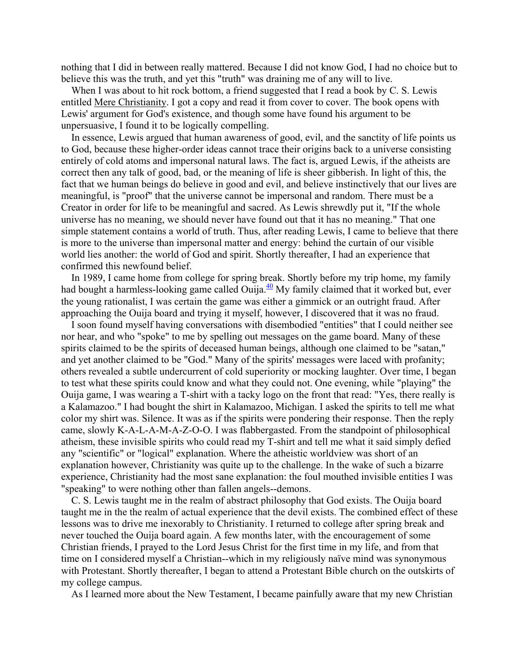nothing that I did in between really mattered. Because I did not know God, I had no choice but to believe this was the truth, and yet this "truth" was draining me of any will to live.

When I was about to hit rock bottom, a friend suggested that I read a book by C. S. Lewis entitled Mere Christianity. I got a copy and read it from cover to cover. The book opens with Lewis' argument for God's existence, and though some have found his argument to be unpersuasive, I found it to be logically compelling.

 In essence, Lewis argued that human awareness of good, evil, and the sanctity of life points us to God, because these higher-order ideas cannot trace their origins back to a universe consisting entirely of cold atoms and impersonal natural laws. The fact is, argued Lewis, if the atheists are correct then any talk of good, bad, or the meaning of life is sheer gibberish. In light of this, the fact that we human beings do believe in good and evil, and believe instinctively that our lives are meaningful, is "proof" that the universe cannot be impersonal and random. There must be a Creator in order for life to be meaningful and sacred. As Lewis shrewdly put it, "If the whole universe has no meaning, we should never have found out that it has no meaning." That one simple statement contains a world of truth. Thus, after reading Lewis, I came to believe that there is more to the universe than impersonal matter and energy: behind the curtain of our visible world lies another: the world of God and spirit. Shortly thereafter, I had an experience that confirmed this newfound belief.

 In 1989, I came home from college for spring break. Shortly before my trip home, my family had bought a harmless-looking game called Ouija. $\frac{40}{3}$  My family claimed that it worked but, ever the young rationalist, I was certain the game was either a gimmick or an outright fraud. After approaching the Ouija board and trying it myself, however, I discovered that it was no fraud.

 I soon found myself having conversations with disembodied "entities" that I could neither see nor hear, and who "spoke" to me by spelling out messages on the game board. Many of these spirits claimed to be the spirits of deceased human beings, although one claimed to be "satan," and yet another claimed to be "God." Many of the spirits' messages were laced with profanity; others revealed a subtle undercurrent of cold superiority or mocking laughter. Over time, I began to test what these spirits could know and what they could not. One evening, while "playing" the Ouija game, I was wearing a T-shirt with a tacky logo on the front that read: "Yes, there really is a Kalamazoo." I had bought the shirt in Kalamazoo, Michigan. I asked the spirits to tell me what color my shirt was. Silence. It was as if the spirits were pondering their response. Then the reply came, slowly K-A-L-A-M-A-Z-O-O. I was flabbergasted. From the standpoint of philosophical atheism, these invisible spirits who could read my T-shirt and tell me what it said simply defied any "scientific" or "logical" explanation. Where the atheistic worldview was short of an explanation however, Christianity was quite up to the challenge. In the wake of such a bizarre experience, Christianity had the most sane explanation: the foul mouthed invisible entities I was "speaking" to were nothing other than fallen angels--demons.

 C. S. Lewis taught me in the realm of abstract philosophy that God exists. The Ouija board taught me in the the realm of actual experience that the devil exists. The combined effect of these lessons was to drive me inexorably to Christianity. I returned to college after spring break and never touched the Ouija board again. A few months later, with the encouragement of some Christian friends, I prayed to the Lord Jesus Christ for the first time in my life, and from that time on I considered myself a Christian--which in my religiously naïve mind was synonymous with Protestant. Shortly thereafter, I began to attend a Protestant Bible church on the outskirts of my college campus.

As I learned more about the New Testament, I became painfully aware that my new Christian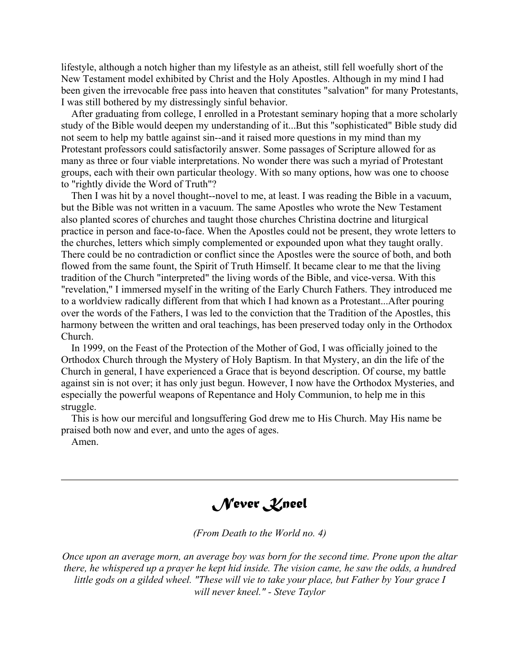lifestyle, although a notch higher than my lifestyle as an atheist, still fell woefully short of the New Testament model exhibited by Christ and the Holy Apostles. Although in my mind I had been given the irrevocable free pass into heaven that constitutes "salvation" for many Protestants, I was still bothered by my distressingly sinful behavior.

 After graduating from college, I enrolled in a Protestant seminary hoping that a more scholarly study of the Bible would deepen my understanding of it...But this "sophisticated" Bible study did not seem to help my battle against sin--and it raised more questions in my mind than my Protestant professors could satisfactorily answer. Some passages of Scripture allowed for as many as three or four viable interpretations. No wonder there was such a myriad of Protestant groups, each with their own particular theology. With so many options, how was one to choose to "rightly divide the Word of Truth"?

 Then I was hit by a novel thought--novel to me, at least. I was reading the Bible in a vacuum, but the Bible was not written in a vacuum. The same Apostles who wrote the New Testament also planted scores of churches and taught those churches Christina doctrine and liturgical practice in person and face-to-face. When the Apostles could not be present, they wrote letters to the churches, letters which simply complemented or expounded upon what they taught orally. There could be no contradiction or conflict since the Apostles were the source of both, and both flowed from the same fount, the Spirit of Truth Himself. It became clear to me that the living tradition of the Church "interpreted" the living words of the Bible, and vice-versa. With this "revelation," I immersed myself in the writing of the Early Church Fathers. They introduced me to a worldview radically different from that which I had known as a Protestant...After pouring over the words of the Fathers, I was led to the conviction that the Tradition of the Apostles, this harmony between the written and oral teachings, has been preserved today only in the Orthodox Church.

 In 1999, on the Feast of the Protection of the Mother of God, I was officially joined to the Orthodox Church through the Mystery of Holy Baptism. In that Mystery, an din the life of the Church in general, I have experienced a Grace that is beyond description. Of course, my battle against sin is not over; it has only just begun. However, I now have the Orthodox Mysteries, and especially the powerful weapons of Repentance and Holy Communion, to help me in this struggle.

 This is how our merciful and longsuffering God drew me to His Church. May His name be praised both now and ever, and unto the ages of ages.

Amen.

*Never Kneel*

*(From Death to the World no. 4)*

*Once upon an average morn, an average boy was born for the second time. Prone upon the altar there, he whispered up a prayer he kept hid inside. The vision came, he saw the odds, a hundred little gods on a gilded wheel. "These will vie to take your place, but Father by Your grace I will never kneel." - Steve Taylor*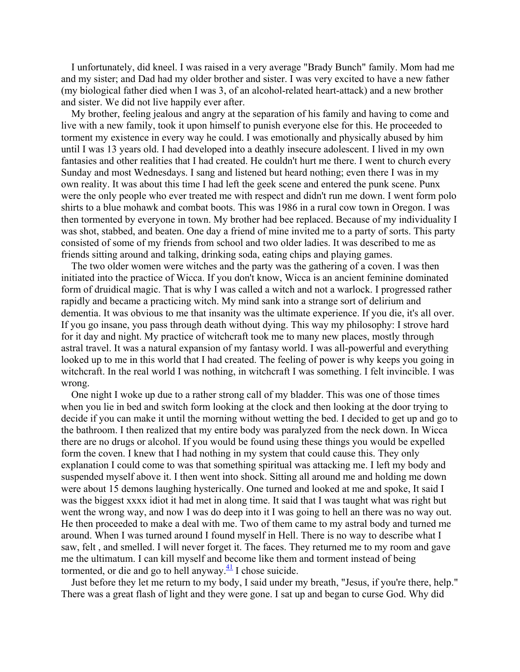I unfortunately, did kneel. I was raised in a very average "Brady Bunch" family. Mom had me and my sister; and Dad had my older brother and sister. I was very excited to have a new father (my biological father died when I was 3, of an alcohol-related heart-attack) and a new brother and sister. We did not live happily ever after.

 My brother, feeling jealous and angry at the separation of his family and having to come and live with a new family, took it upon himself to punish everyone else for this. He proceeded to torment my existence in every way he could. I was emotionally and physically abused by him until I was 13 years old. I had developed into a deathly insecure adolescent. I lived in my own fantasies and other realities that I had created. He couldn't hurt me there. I went to church every Sunday and most Wednesdays. I sang and listened but heard nothing; even there I was in my own reality. It was about this time I had left the geek scene and entered the punk scene. Punx were the only people who ever treated me with respect and didn't run me down. I went form polo shirts to a blue mohawk and combat boots. This was 1986 in a rural cow town in Oregon. I was then tormented by everyone in town. My brother had bee replaced. Because of my individuality I was shot, stabbed, and beaten. One day a friend of mine invited me to a party of sorts. This party consisted of some of my friends from school and two older ladies. It was described to me as friends sitting around and talking, drinking soda, eating chips and playing games.

 The two older women were witches and the party was the gathering of a coven. I was then initiated into the practice of Wicca. If you don't know, Wicca is an ancient feminine dominated form of druidical magic. That is why I was called a witch and not a warlock. I progressed rather rapidly and became a practicing witch. My mind sank into a strange sort of delirium and dementia. It was obvious to me that insanity was the ultimate experience. If you die, it's all over. If you go insane, you pass through death without dying. This way my philosophy: I strove hard for it day and night. My practice of witchcraft took me to many new places, mostly through astral travel. It was a natural expansion of my fantasy world. I was all-powerful and everything looked up to me in this world that I had created. The feeling of power is why keeps you going in witchcraft. In the real world I was nothing, in witchcraft I was something. I felt invincible. I was wrong.

 One night I woke up due to a rather strong call of my bladder. This was one of those times when you lie in bed and switch form looking at the clock and then looking at the door trying to decide if you can make it until the morning without wetting the bed. I decided to get up and go to the bathroom. I then realized that my entire body was paralyzed from the neck down. In Wicca there are no drugs or alcohol. If you would be found using these things you would be expelled form the coven. I knew that I had nothing in my system that could cause this. They only explanation I could come to was that something spiritual was attacking me. I left my body and suspended myself above it. I then went into shock. Sitting all around me and holding me down were about 15 demons laughing hysterically. One turned and looked at me and spoke, It said I was the biggest xxxx idiot it had met in along time. It said that I was taught what was right but went the wrong way, and now I was do deep into it I was going to hell an there was no way out. He then proceeded to make a deal with me. Two of them came to my astral body and turned me around. When I was turned around I found myself in Hell. There is no way to describe what I saw, felt , and smelled. I will never forget it. The faces. They returned me to my room and gave me the ultimatum. I can kill myself and become like them and torment instead of being tormented, or die and go to hell anyway. $\frac{41}{1}$  I chose suicide.

 Just before they let me return to my body, I said under my breath, "Jesus, if you're there, help." There was a great flash of light and they were gone. I sat up and began to curse God. Why did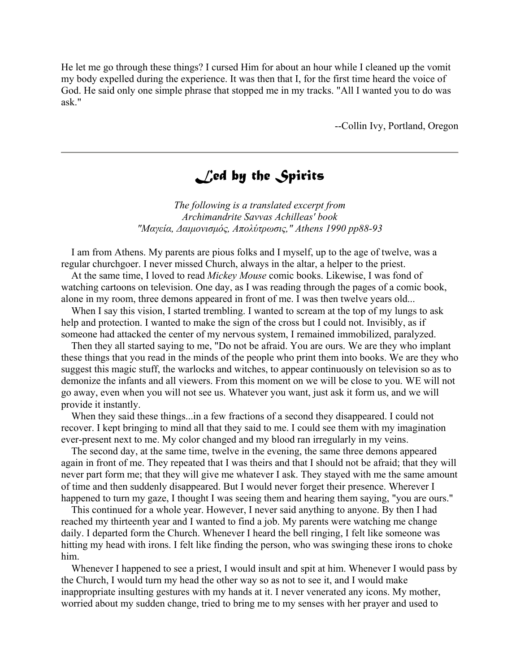He let me go through these things? I cursed Him for about an hour while I cleaned up the vomit my body expelled during the experience. It was then that I, for the first time heard the voice of God. He said only one simple phrase that stopped me in my tracks. "All I wanted you to do was ask."

--Collin Ivy, Portland, Oregon

# *Led by the Spirits*

*The following is a translated excerpt from Archimandrite Savvas Achilleas' book "Μαγεία, ∆αιµονισµός, Απολύτρωσις," Athens 1990 pp88-93*

 I am from Athens. My parents are pious folks and I myself, up to the age of twelve, was a regular churchgoer. I never missed Church, always in the altar, a helper to the priest.

 At the same time, I loved to read *Mickey Mouse* comic books. Likewise, I was fond of watching cartoons on television. One day, as I was reading through the pages of a comic book, alone in my room, three demons appeared in front of me. I was then twelve years old...

When I say this vision, I started trembling. I wanted to scream at the top of my lungs to ask help and protection. I wanted to make the sign of the cross but I could not. Invisibly, as if someone had attacked the center of my nervous system, I remained immobilized, paralyzed.

 Then they all started saying to me, "Do not be afraid. You are ours. We are they who implant these things that you read in the minds of the people who print them into books. We are they who suggest this magic stuff, the warlocks and witches, to appear continuously on television so as to demonize the infants and all viewers. From this moment on we will be close to you. WE will not go away, even when you will not see us. Whatever you want, just ask it form us, and we will provide it instantly.

 When they said these things...in a few fractions of a second they disappeared. I could not recover. I kept bringing to mind all that they said to me. I could see them with my imagination ever-present next to me. My color changed and my blood ran irregularly in my veins.

 The second day, at the same time, twelve in the evening, the same three demons appeared again in front of me. They repeated that I was theirs and that I should not be afraid; that they will never part form me; that they will give me whatever I ask. They stayed with me the same amount of time and then suddenly disappeared. But I would never forget their presence. Wherever I happened to turn my gaze, I thought I was seeing them and hearing them saying, "you are ours."

 This continued for a whole year. However, I never said anything to anyone. By then I had reached my thirteenth year and I wanted to find a job. My parents were watching me change daily. I departed form the Church. Whenever I heard the bell ringing, I felt like someone was hitting my head with irons. I felt like finding the person, who was swinging these irons to choke him.

 Whenever I happened to see a priest, I would insult and spit at him. Whenever I would pass by the Church, I would turn my head the other way so as not to see it, and I would make inappropriate insulting gestures with my hands at it. I never venerated any icons. My mother, worried about my sudden change, tried to bring me to my senses with her prayer and used to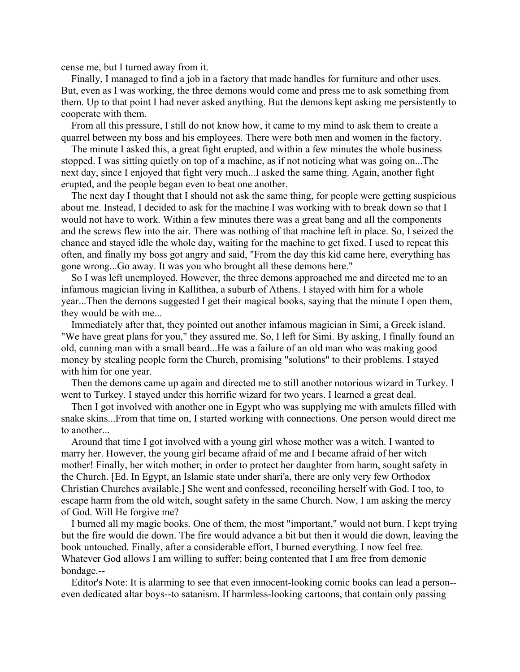cense me, but I turned away from it.

 Finally, I managed to find a job in a factory that made handles for furniture and other uses. But, even as I was working, the three demons would come and press me to ask something from them. Up to that point I had never asked anything. But the demons kept asking me persistently to cooperate with them.

 From all this pressure, I still do not know how, it came to my mind to ask them to create a quarrel between my boss and his employees. There were both men and women in the factory.

 The minute I asked this, a great fight erupted, and within a few minutes the whole business stopped. I was sitting quietly on top of a machine, as if not noticing what was going on...The next day, since I enjoyed that fight very much...I asked the same thing. Again, another fight erupted, and the people began even to beat one another.

 The next day I thought that I should not ask the same thing, for people were getting suspicious about me. Instead, I decided to ask for the machine I was working with to break down so that I would not have to work. Within a few minutes there was a great bang and all the components and the screws flew into the air. There was nothing of that machine left in place. So, I seized the chance and stayed idle the whole day, waiting for the machine to get fixed. I used to repeat this often, and finally my boss got angry and said, "From the day this kid came here, everything has gone wrong...Go away. It was you who brought all these demons here."

 So I was left unemployed. However, the three demons approached me and directed me to an infamous magician living in Kallithea, a suburb of Athens. I stayed with him for a whole year...Then the demons suggested I get their magical books, saying that the minute I open them, they would be with me...

 Immediately after that, they pointed out another infamous magician in Simi, a Greek island. "We have great plans for you," they assured me. So, I left for Simi. By asking, I finally found an old, cunning man with a small beard...He was a failure of an old man who was making good money by stealing people form the Church, promising "solutions" to their problems. I stayed with him for one year.

 Then the demons came up again and directed me to still another notorious wizard in Turkey. I went to Turkey. I stayed under this horrific wizard for two years. I learned a great deal.

 Then I got involved with another one in Egypt who was supplying me with amulets filled with snake skins...From that time on, I started working with connections. One person would direct me to another...

 Around that time I got involved with a young girl whose mother was a witch. I wanted to marry her. However, the young girl became afraid of me and I became afraid of her witch mother! Finally, her witch mother; in order to protect her daughter from harm, sought safety in the Church. [Ed. In Egypt, an Islamic state under shari'a, there are only very few Orthodox Christian Churches available.] She went and confessed, reconciling herself with God. I too, to escape harm from the old witch, sought safety in the same Church. Now, I am asking the mercy of God. Will He forgive me?

 I burned all my magic books. One of them, the most "important," would not burn. I kept trying but the fire would die down. The fire would advance a bit but then it would die down, leaving the book untouched. Finally, after a considerable effort, I burned everything. I now feel free. Whatever God allows I am willing to suffer; being contented that I am free from demonic bondage.--

 Editor's Note: It is alarming to see that even innocent-looking comic books can lead a person- even dedicated altar boys--to satanism. If harmless-looking cartoons, that contain only passing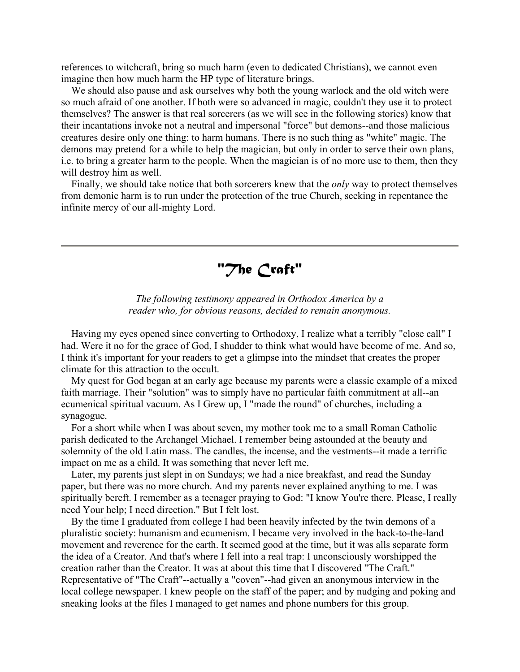references to witchcraft, bring so much harm (even to dedicated Christians), we cannot even imagine then how much harm the HP type of literature brings.

 We should also pause and ask ourselves why both the young warlock and the old witch were so much afraid of one another. If both were so advanced in magic, couldn't they use it to protect themselves? The answer is that real sorcerers (as we will see in the following stories) know that their incantations invoke not a neutral and impersonal "force" but demons--and those malicious creatures desire only one thing: to harm humans. There is no such thing as "white" magic. The demons may pretend for a while to help the magician, but only in order to serve their own plans, i.e. to bring a greater harm to the people. When the magician is of no more use to them, then they will destroy him as well.

 Finally, we should take notice that both sorcerers knew that the *only* way to protect themselves from demonic harm is to run under the protection of the true Church, seeking in repentance the infinite mercy of our all-mighty Lord.

*"The Craft"*

*The following testimony appeared in Orthodox America by a reader who, for obvious reasons, decided to remain anonymous.*

 Having my eyes opened since converting to Orthodoxy, I realize what a terribly "close call" I had. Were it no for the grace of God, I shudder to think what would have become of me. And so, I think it's important for your readers to get a glimpse into the mindset that creates the proper climate for this attraction to the occult.

 My quest for God began at an early age because my parents were a classic example of a mixed faith marriage. Their "solution" was to simply have no particular faith commitment at all--an ecumenical spiritual vacuum. As I Grew up, I "made the round" of churches, including a synagogue.

 For a short while when I was about seven, my mother took me to a small Roman Catholic parish dedicated to the Archangel Michael. I remember being astounded at the beauty and solemnity of the old Latin mass. The candles, the incense, and the vestments--it made a terrific impact on me as a child. It was something that never left me.

 Later, my parents just slept in on Sundays; we had a nice breakfast, and read the Sunday paper, but there was no more church. And my parents never explained anything to me. I was spiritually bereft. I remember as a teenager praying to God: "I know You're there. Please, I really need Your help; I need direction." But I felt lost.

 By the time I graduated from college I had been heavily infected by the twin demons of a pluralistic society: humanism and ecumenism. I became very involved in the back-to-the-land movement and reverence for the earth. It seemed good at the time, but it was alls separate form the idea of a Creator. And that's where I fell into a real trap: I unconsciously worshipped the creation rather than the Creator. It was at about this time that I discovered "The Craft." Representative of "The Craft"--actually a "coven"--had given an anonymous interview in the local college newspaper. I knew people on the staff of the paper; and by nudging and poking and sneaking looks at the files I managed to get names and phone numbers for this group.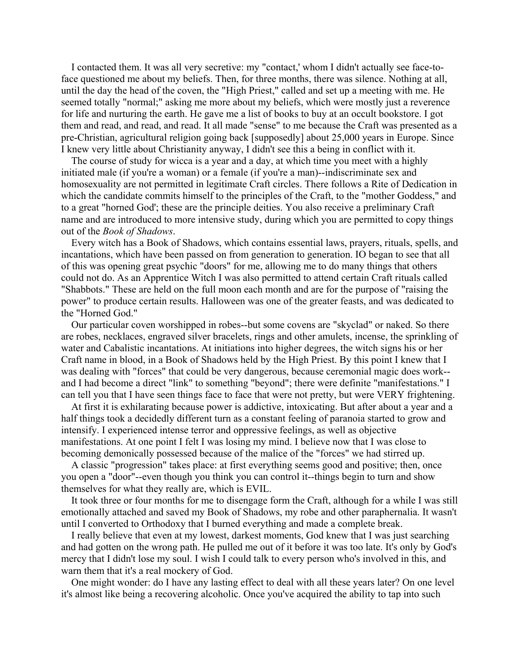I contacted them. It was all very secretive: my "contact,' whom I didn't actually see face-toface questioned me about my beliefs. Then, for three months, there was silence. Nothing at all, until the day the head of the coven, the "High Priest," called and set up a meeting with me. He seemed totally "normal;" asking me more about my beliefs, which were mostly just a reverence for life and nurturing the earth. He gave me a list of books to buy at an occult bookstore. I got them and read, and read, and read. It all made "sense" to me because the Craft was presented as a pre-Christian, agricultural religion going back [supposedly] about 25,000 years in Europe. Since I knew very little about Christianity anyway, I didn't see this a being in conflict with it.

 The course of study for wicca is a year and a day, at which time you meet with a highly initiated male (if you're a woman) or a female (if you're a man)--indiscriminate sex and homosexuality are not permitted in legitimate Craft circles. There follows a Rite of Dedication in which the candidate commits himself to the principles of the Craft, to the "mother Goddess," and to a great "horned God'; these are the principle deities. You also receive a preliminary Craft name and are introduced to more intensive study, during which you are permitted to copy things out of the *Book of Shadows*.

 Every witch has a Book of Shadows, which contains essential laws, prayers, rituals, spells, and incantations, which have been passed on from generation to generation. IO began to see that all of this was opening great psychic "doors" for me, allowing me to do many things that others could not do. As an Apprentice Witch I was also permitted to attend certain Craft rituals called "Shabbots." These are held on the full moon each month and are for the purpose of "raising the power" to produce certain results. Halloween was one of the greater feasts, and was dedicated to the "Horned God."

 Our particular coven worshipped in robes--but some covens are "skyclad" or naked. So there are robes, necklaces, engraved silver bracelets, rings and other amulets, incense, the sprinkling of water and Cabalistic incantations. At initiations into higher degrees, the witch signs his or her Craft name in blood, in a Book of Shadows held by the High Priest. By this point I knew that I was dealing with "forces" that could be very dangerous, because ceremonial magic does work- and I had become a direct "link" to something "beyond"; there were definite "manifestations." I can tell you that I have seen things face to face that were not pretty, but were VERY frightening.

 At first it is exhilarating because power is addictive, intoxicating. But after about a year and a half things took a decidedly different turn as a constant feeling of paranoia started to grow and intensify. I experienced intense terror and oppressive feelings, as well as objective manifestations. At one point I felt I was losing my mind. I believe now that I was close to becoming demonically possessed because of the malice of the "forces" we had stirred up.

 A classic "progression" takes place: at first everything seems good and positive; then, once you open a "door"--even though you think you can control it--things begin to turn and show themselves for what they really are, which is EVIL.

 It took three or four months for me to disengage form the Craft, although for a while I was still emotionally attached and saved my Book of Shadows, my robe and other paraphernalia. It wasn't until I converted to Orthodoxy that I burned everything and made a complete break.

 I really believe that even at my lowest, darkest moments, God knew that I was just searching and had gotten on the wrong path. He pulled me out of it before it was too late. It's only by God's mercy that I didn't lose my soul. I wish I could talk to every person who's involved in this, and warn them that it's a real mockery of God.

 One might wonder: do I have any lasting effect to deal with all these years later? On one level it's almost like being a recovering alcoholic. Once you've acquired the ability to tap into such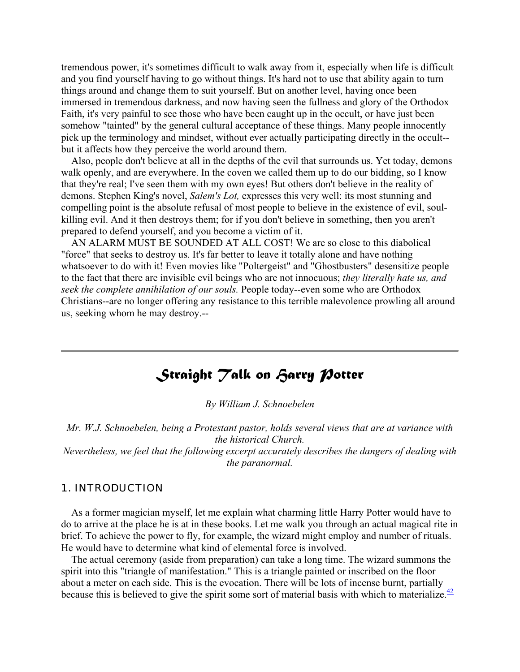tremendous power, it's sometimes difficult to walk away from it, especially when life is difficult and you find yourself having to go without things. It's hard not to use that ability again to turn things around and change them to suit yourself. But on another level, having once been immersed in tremendous darkness, and now having seen the fullness and glory of the Orthodox Faith, it's very painful to see those who have been caught up in the occult, or have just been somehow "tainted" by the general cultural acceptance of these things. Many people innocently pick up the terminology and mindset, without ever actually participating directly in the occult- but it affects how they perceive the world around them.

 Also, people don't believe at all in the depths of the evil that surrounds us. Yet today, demons walk openly, and are everywhere. In the coven we called them up to do our bidding, so I know that they're real; I've seen them with my own eyes! But others don't believe in the reality of demons. Stephen King's novel, *Salem's Lot,* expresses this very well: its most stunning and compelling point is the absolute refusal of most people to believe in the existence of evil, soulkilling evil. And it then destroys them; for if you don't believe in something, then you aren't prepared to defend yourself, and you become a victim of it.

 AN ALARM MUST BE SOUNDED AT ALL COST! We are so close to this diabolical "force" that seeks to destroy us. It's far better to leave it totally alone and have nothing whatsoever to do with it! Even movies like "Poltergeist" and "Ghostbusters" desensitize people to the fact that there are invisible evil beings who are not innocuous; *they literally hate us, and seek the complete annihilation of our souls.* People today--even some who are Orthodox Christians--are no longer offering any resistance to this terrible malevolence prowling all around us, seeking whom he may destroy.--

# *<i>Straight Talk on Farry Potter*

*By William J. Schnoebelen*

*Mr. W.J. Schnoebelen, being a Protestant pastor, holds several views that are at variance with the historical Church.* 

*Nevertheless, we feel that the following excerpt accurately describes the dangers of dealing with the paranormal.*

#### *1. INTRODUCTION*

 As a former magician myself, let me explain what charming little Harry Potter would have to do to arrive at the place he is at in these books. Let me walk you through an actual magical rite in brief. To achieve the power to fly, for example, the wizard might employ and number of rituals. He would have to determine what kind of elemental force is involved.

 The actual ceremony (aside from preparation) can take a long time. The wizard summons the spirit into this "triangle of manifestation." This is a triangle painted or inscribed on the floor about a meter on each side. This is the evocation. There will be lots of incense burnt, partially because this is believed to give the spirit some sort of material basis with which to materialize. $\frac{42}{5}$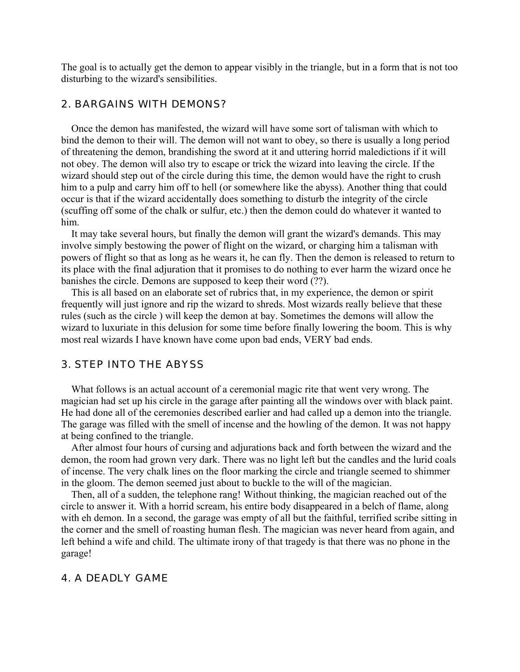The goal is to actually get the demon to appear visibly in the triangle, but in a form that is not too disturbing to the wizard's sensibilities.

#### *2. BARGAINS WITH DEMONS?*

 Once the demon has manifested, the wizard will have some sort of talisman with which to bind the demon to their will. The demon will not want to obey, so there is usually a long period of threatening the demon, brandishing the sword at it and uttering horrid maledictions if it will not obey. The demon will also try to escape or trick the wizard into leaving the circle. If the wizard should step out of the circle during this time, the demon would have the right to crush him to a pulp and carry him off to hell (or somewhere like the abyss). Another thing that could occur is that if the wizard accidentally does something to disturb the integrity of the circle (scuffing off some of the chalk or sulfur, etc.) then the demon could do whatever it wanted to him.

 It may take several hours, but finally the demon will grant the wizard's demands. This may involve simply bestowing the power of flight on the wizard, or charging him a talisman with powers of flight so that as long as he wears it, he can fly. Then the demon is released to return to its place with the final adjuration that it promises to do nothing to ever harm the wizard once he banishes the circle. Demons are supposed to keep their word (??).

 This is all based on an elaborate set of rubrics that, in my experience, the demon or spirit frequently will just ignore and rip the wizard to shreds. Most wizards really believe that these rules (such as the circle ) will keep the demon at bay. Sometimes the demons will allow the wizard to luxuriate in this delusion for some time before finally lowering the boom. This is why most real wizards I have known have come upon bad ends, VERY bad ends.

#### *3. STEP INTO THE ABYSS*

 What follows is an actual account of a ceremonial magic rite that went very wrong. The magician had set up his circle in the garage after painting all the windows over with black paint. He had done all of the ceremonies described earlier and had called up a demon into the triangle. The garage was filled with the smell of incense and the howling of the demon. It was not happy at being confined to the triangle.

 After almost four hours of cursing and adjurations back and forth between the wizard and the demon, the room had grown very dark. There was no light left but the candles and the lurid coals of incense. The very chalk lines on the floor marking the circle and triangle seemed to shimmer in the gloom. The demon seemed just about to buckle to the will of the magician.

 Then, all of a sudden, the telephone rang! Without thinking, the magician reached out of the circle to answer it. With a horrid scream, his entire body disappeared in a belch of flame, along with eh demon. In a second, the garage was empty of all but the faithful, terrified scribe sitting in the corner and the smell of roasting human flesh. The magician was never heard from again, and left behind a wife and child. The ultimate irony of that tragedy is that there was no phone in the garage!

#### *4. A DEADLY GAME*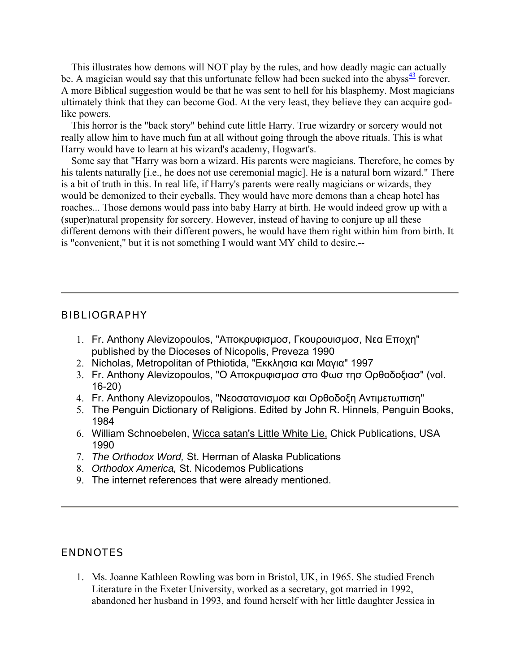This illustrates how demons will NOT play by the rules, and how deadly magic can actually be. A magician would say that this unfortunate fellow had been sucked into the abyss $\frac{43}{12}$  forever. A more Biblical suggestion would be that he was sent to hell for his blasphemy. Most magicians ultimately think that they can become God. At the very least, they believe they can acquire godlike powers.

 This horror is the "back story" behind cute little Harry. True wizardry or sorcery would not really allow him to have much fun at all without going through the above rituals. This is what Harry would have to learn at his wizard's academy, Hogwart's.

 Some say that "Harry was born a wizard. His parents were magicians. Therefore, he comes by his talents naturally [i.e., he does not use ceremonial magic]. He is a natural born wizard." There is a bit of truth in this. In real life, if Harry's parents were really magicians or wizards, they would be demonized to their eyeballs. They would have more demons than a cheap hotel has roaches... Those demons would pass into baby Harry at birth. He would indeed grow up with a (super)natural propensity for sorcery. However, instead of having to conjure up all these different demons with their different powers, he would have them right within him from birth. It is "convenient," but it is not something I would want MY child to desire.--

#### **BIBLIOGRAPHY**

- 1. Fr. Anthony Alevizopoulos, "Αποκρυφισµοσ, Γκουρουισµοσ, Νεα Εποχη" published by the Dioceses of Nicopolis, Preveza 1990
- 2. Nicholas, Metropolitan of Pthiotida, "Εκκλησια και Μαγια" 1997
- 3. Fr. Anthony Alevizopoulos, "Ο Αποκρυφισµοσ στο Φωσ τησ Ορθοδοξιασ" (vol. 16-20)
- 4. Fr. Anthony Alevizopoulos, "Νεοσατανισµοσ και Ορθοδοξη Αντιµετωπιση"
- 5. The Penguin Dictionary of Religions. Edited by John R. Hinnels, Penguin Books, 1984
- 6. William Schnoebelen, Wicca satan's Little White Lie, Chick Publications, USA 1990
- 7. *The Orthodox Word,* St. Herman of Alaska Publications
- 8. *Orthodox America,* St. Nicodemos Publications
- 9. The internet references that were already mentioned.

#### ENDNOTES

1. Ms. Joanne Kathleen Rowling was born in Bristol, UK, in 1965. She studied French Literature in the Exeter University, worked as a secretary, got married in 1992, abandoned her husband in 1993, and found herself with her little daughter Jessica in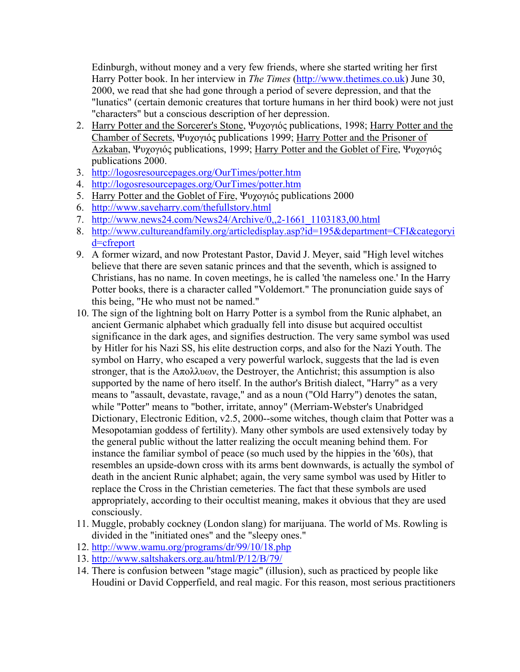Edinburgh, without money and a very few friends, where she started writing her first Harry Potter book. In her interview in *The Times* (http://www.thetimes.co.uk) June 30, 2000, we read that she had gone through a period of severe depression, and that the "lunatics" (certain demonic creatures that torture humans in her third book) were not just "characters" but a conscious description of her depression.

- 2. Harry Potter and the Sorcerer's Stone, Ψυχογιός publications, 1998; Harry Potter and the Chamber of Secrets, Ψυχογιός publications 1999; Harry Potter and the Prisoner of Azkaban, Ψυχογιός publications, 1999; Harry Potter and the Goblet of Fire, Ψυχογιός publications 2000.
- 3. http://logosresourcepages.org/OurTimes/potter.htm
- 4. http://logosresourcepages.org/OurTimes/potter.htm
- 5. Harry Potter and the Goblet of Fire, Ψυχογιός publications 2000
- 6. http://www.saveharry.com/thefullstory.html
- 7. http://www.news24.com/News24/Archive/0,,2-1661\_1103183,00.html
- 8. http://www.cultureandfamily.org/articledisplay.asp?id=195&department=CFI&categoryi d=cfreport
- 9. A former wizard, and now Protestant Pastor, David J. Meyer, said "High level witches believe that there are seven satanic princes and that the seventh, which is assigned to Christians, has no name. In coven meetings, he is called 'the nameless one.' In the Harry Potter books, there is a character called "Voldemort." The pronunciation guide says of this being, "He who must not be named."
- 10. The sign of the lightning bolt on Harry Potter is a symbol from the Runic alphabet, an ancient Germanic alphabet which gradually fell into disuse but acquired occultist significance in the dark ages, and signifies destruction. The very same symbol was used by Hitler for his Nazi SS, his elite destruction corps, and also for the Nazi Youth. The symbol on Harry, who escaped a very powerful warlock, suggests that the lad is even stronger, that is the Απολλυων, the Destroyer, the Antichrist; this assumption is also supported by the name of hero itself. In the author's British dialect, "Harry" as a very means to "assault, devastate, ravage," and as a noun ("Old Harry") denotes the satan, while "Potter" means to "bother, irritate, annoy" (Merriam-Webster's Unabridged Dictionary, Electronic Edition, v2.5, 2000--some witches, though claim that Potter was a Mesopotamian goddess of fertility). Many other symbols are used extensively today by the general public without the latter realizing the occult meaning behind them. For instance the familiar symbol of peace (so much used by the hippies in the '60s), that resembles an upside-down cross with its arms bent downwards, is actually the symbol of death in the ancient Runic alphabet; again, the very same symbol was used by Hitler to replace the Cross in the Christian cemeteries. The fact that these symbols are used appropriately, according to their occultist meaning, makes it obvious that they are used consciously.
- 11. Muggle, probably cockney (London slang) for marijuana. The world of Ms. Rowling is divided in the "initiated ones" and the "sleepy ones."
- 12. http://www.wamu.org/programs/dr/99/10/18.php
- 13. http://www.saltshakers.org.au/html/P/12/B/79/
- 14. There is confusion between "stage magic" (illusion), such as practiced by people like Houdini or David Copperfield, and real magic. For this reason, most serious practitioners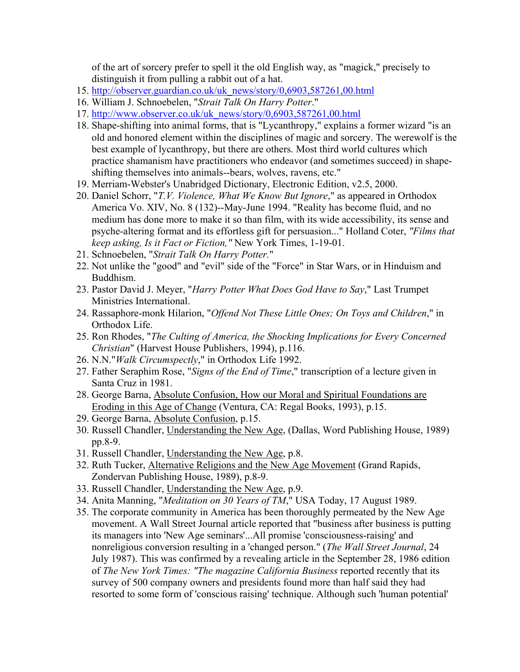of the art of sorcery prefer to spell it the old English way, as "magick," precisely to distinguish it from pulling a rabbit out of a hat.

- 15. http://observer.guardian.co.uk/uk\_news/story/0,6903,587261,00.html
- 16. William J. Schnoebelen, "*Strait Talk On Harry Potter*."
- 17. http://www.observer.co.uk/uk\_news/story/0,6903,587261,00.html
- 18. Shape-shifting into animal forms, that is "Lycanthropy," explains a former wizard "is an old and honored element within the disciplines of magic and sorcery. The werewolf is the best example of lycanthropy, but there are others. Most third world cultures which practice shamanism have practitioners who endeavor (and sometimes succeed) in shapeshifting themselves into animals--bears, wolves, ravens, etc."
- 19. Merriam-Webster's Unabridged Dictionary, Electronic Edition, v2.5, 2000.
- 20. Daniel Schorr, "*T.V. Violence, What We Know But Ignore*," as appeared in Orthodox America Vo. XIV, No. 8 (132)--May-June 1994. "Reality has become fluid, and no medium has done more to make it so than film, with its wide accessibility, its sense and psyche-altering format and its effortless gift for persuasion..." Holland Coter, *"Films that keep asking, Is it Fact or Fiction,"* New York Times, 1-19-01.
- 21. Schnoebelen, "*Strait Talk On Harry Potter.*"
- 22. Not unlike the "good" and "evil" side of the "Force" in Star Wars, or in Hinduism and Buddhism.
- 23. Pastor David J. Meyer, "*Harry Potter What Does God Have to Say*," Last Trumpet Ministries International.
- 24. Rassaphore-monk Hilarion, "*Offend Not These Little Ones; On Toys and Children*," in Orthodox Life.
- 25. Ron Rhodes, "*The Culting of America, the Shocking Implications for Every Concerned Christian*" (Harvest House Publishers, 1994), p.116.
- 26. N.N."*Walk Circumspectly*," in Orthodox Life 1992.
- 27. Father Seraphim Rose, "*Signs of the End of Time*," transcription of a lecture given in Santa Cruz in 1981.
- 28. George Barna, Absolute Confusion, How our Moral and Spiritual Foundations are Eroding in this Age of Change (Ventura, CA: Regal Books, 1993), p.15.
- 29. George Barna, Absolute Confusion, p.15.
- 30. Russell Chandler, Understanding the New Age, (Dallas, Word Publishing House, 1989) pp.8-9.
- 31. Russell Chandler, Understanding the New Age, p.8.
- 32. Ruth Tucker, Alternative Religions and the New Age Movement (Grand Rapids, Zondervan Publishing House, 1989), p.8-9.
- 33. Russell Chandler, Understanding the New Age, p.9.
- 34. Anita Manning, "*Meditation on 30 Years of TM*," USA Today, 17 August 1989.
- 35. The corporate community in America has been thoroughly permeated by the New Age movement. A Wall Street Journal article reported that "business after business is putting its managers into 'New Age seminars'...All promise 'consciousness-raising' and nonreligious conversion resulting in a 'changed person." (*The Wall Street Journal*, 24 July 1987). This was confirmed by a revealing article in the September 28, 1986 edition of *The New York Times: "The magazine California Business* reported recently that its survey of 500 company owners and presidents found more than half said they had resorted to some form of 'conscious raising' technique. Although such 'human potential'